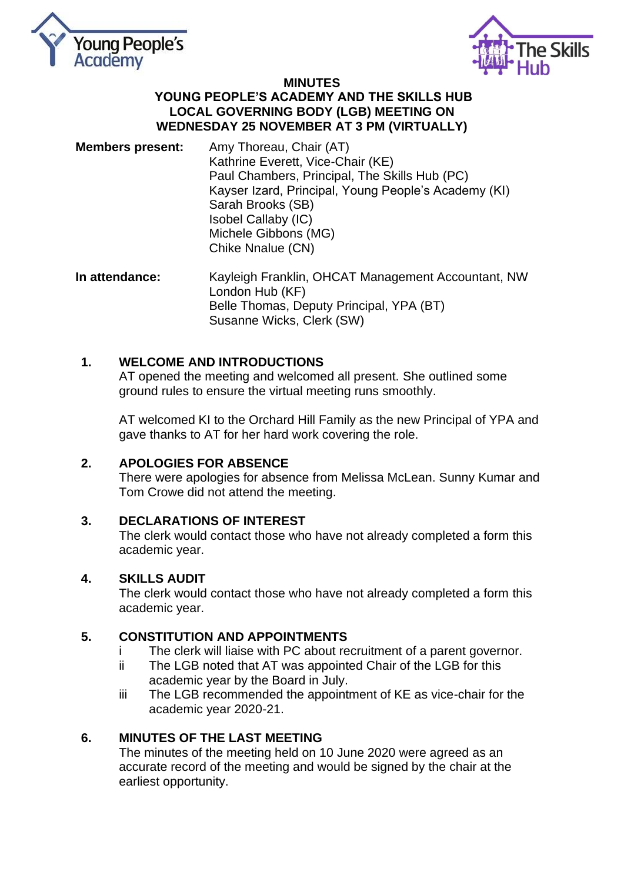



#### **MINUTES YOUNG PEOPLE'S ACADEMY AND THE SKILLS HUB LOCAL GOVERNING BODY (LGB) MEETING ON WEDNESDAY 25 NOVEMBER AT 3 PM (VIRTUALLY)**

- **Members present:** Amy Thoreau, Chair (AT) Kathrine Everett, Vice-Chair (KE) Paul Chambers, Principal, The Skills Hub (PC) Kayser Izard, Principal, Young People's Academy (KI) Sarah Brooks (SB) Isobel Callaby (IC) Michele Gibbons (MG) Chike Nnalue (CN)
- **In attendance:** Kayleigh Franklin, OHCAT Management Accountant, NW London Hub (KF) Belle Thomas, Deputy Principal, YPA (BT) Susanne Wicks, Clerk (SW)

# **1. WELCOME AND INTRODUCTIONS**

AT opened the meeting and welcomed all present. She outlined some ground rules to ensure the virtual meeting runs smoothly.

AT welcomed KI to the Orchard Hill Family as the new Principal of YPA and gave thanks to AT for her hard work covering the role.

# **2. APOLOGIES FOR ABSENCE**

There were apologies for absence from Melissa McLean. Sunny Kumar and Tom Crowe did not attend the meeting.

# **3. DECLARATIONS OF INTEREST**

The clerk would contact those who have not already completed a form this academic year.

### **4. SKILLS AUDIT**

The clerk would contact those who have not already completed a form this academic year.

# **5. CONSTITUTION AND APPOINTMENTS**

- i The clerk will liaise with PC about recruitment of a parent governor.
- ii The LGB noted that AT was appointed Chair of the LGB for this academic year by the Board in July.
- iii The LGB recommended the appointment of KE as vice-chair for the academic year 2020-21.

# **6. MINUTES OF THE LAST MEETING**

The minutes of the meeting held on 10 June 2020 were agreed as an accurate record of the meeting and would be signed by the chair at the earliest opportunity.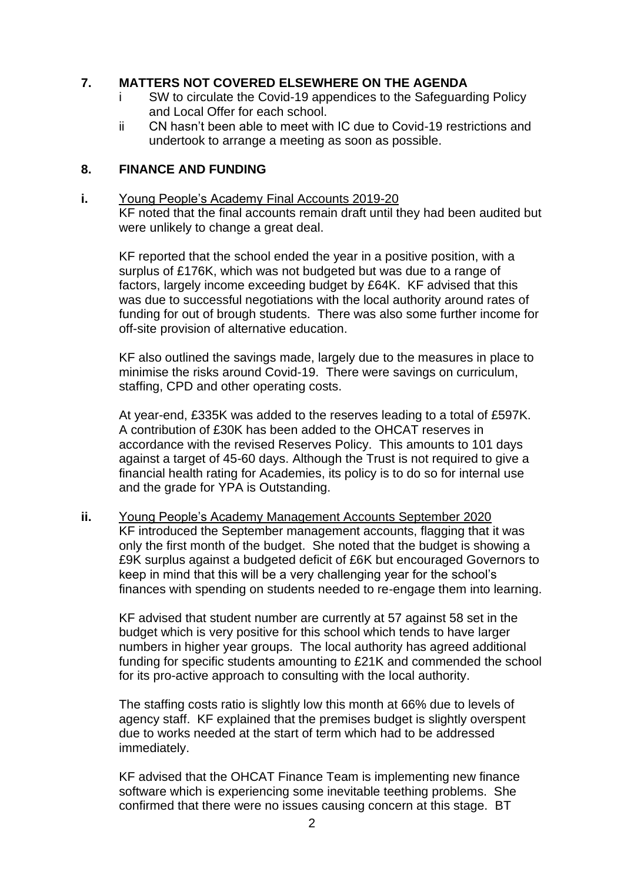### **7. MATTERS NOT COVERED ELSEWHERE ON THE AGENDA**

- i SW to circulate the Covid-19 appendices to the Safeguarding Policy and Local Offer for each school.
- ii CN hasn't been able to meet with IC due to Covid-19 restrictions and undertook to arrange a meeting as soon as possible.

### **8. FINANCE AND FUNDING**

**i.** Young People's Academy Final Accounts 2019-20 KF noted that the final accounts remain draft until they had been audited but were unlikely to change a great deal.

KF reported that the school ended the year in a positive position, with a surplus of £176K, which was not budgeted but was due to a range of factors, largely income exceeding budget by £64K. KF advised that this was due to successful negotiations with the local authority around rates of funding for out of brough students. There was also some further income for off-site provision of alternative education.

KF also outlined the savings made, largely due to the measures in place to minimise the risks around Covid-19. There were savings on curriculum, staffing, CPD and other operating costs.

At year-end, £335K was added to the reserves leading to a total of £597K. A contribution of £30K has been added to the OHCAT reserves in accordance with the revised Reserves Policy. This amounts to 101 days against a target of 45-60 days. Although the Trust is not required to give a financial health rating for Academies, its policy is to do so for internal use and the grade for YPA is Outstanding.

**ii.** Young People's Academy Management Accounts September 2020 KF introduced the September management accounts, flagging that it was only the first month of the budget. She noted that the budget is showing a £9K surplus against a budgeted deficit of £6K but encouraged Governors to keep in mind that this will be a very challenging year for the school's finances with spending on students needed to re-engage them into learning.

KF advised that student number are currently at 57 against 58 set in the budget which is very positive for this school which tends to have larger numbers in higher year groups. The local authority has agreed additional funding for specific students amounting to £21K and commended the school for its pro-active approach to consulting with the local authority.

The staffing costs ratio is slightly low this month at 66% due to levels of agency staff. KF explained that the premises budget is slightly overspent due to works needed at the start of term which had to be addressed immediately.

KF advised that the OHCAT Finance Team is implementing new finance software which is experiencing some inevitable teething problems. She confirmed that there were no issues causing concern at this stage. BT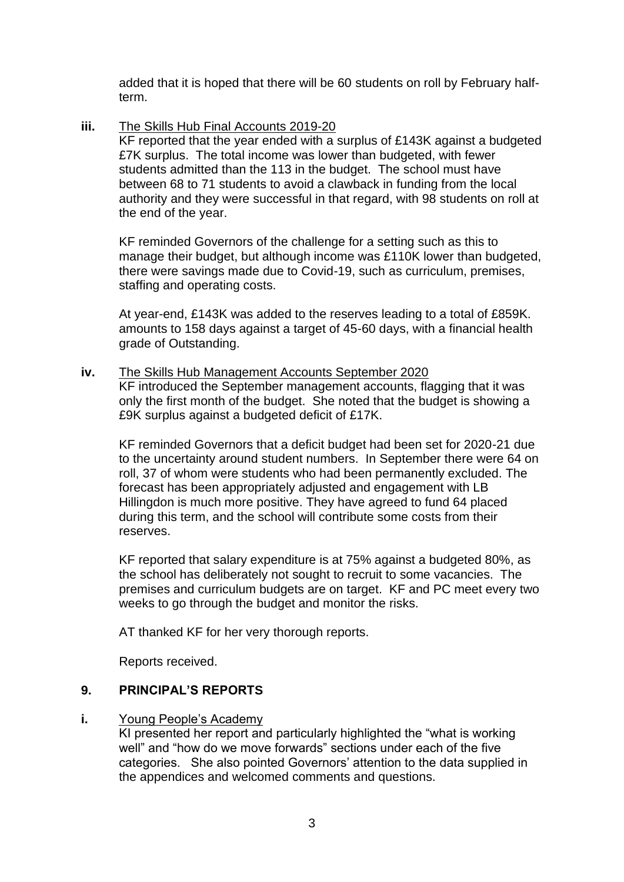added that it is hoped that there will be 60 students on roll by February halfterm.

**iii.** The Skills Hub Final Accounts 2019-20

KF reported that the year ended with a surplus of £143K against a budgeted £7K surplus. The total income was lower than budgeted, with fewer students admitted than the 113 in the budget. The school must have between 68 to 71 students to avoid a clawback in funding from the local authority and they were successful in that regard, with 98 students on roll at the end of the year.

KF reminded Governors of the challenge for a setting such as this to manage their budget, but although income was £110K lower than budgeted, there were savings made due to Covid-19, such as curriculum, premises, staffing and operating costs.

At year-end, £143K was added to the reserves leading to a total of £859K. amounts to 158 days against a target of 45-60 days, with a financial health grade of Outstanding.

**iv.** The Skills Hub Management Accounts September 2020

KF introduced the September management accounts, flagging that it was only the first month of the budget. She noted that the budget is showing a £9K surplus against a budgeted deficit of £17K.

KF reminded Governors that a deficit budget had been set for 2020-21 due to the uncertainty around student numbers. In September there were 64 on roll, 37 of whom were students who had been permanently excluded. The forecast has been appropriately adjusted and engagement with LB Hillingdon is much more positive. They have agreed to fund 64 placed during this term, and the school will contribute some costs from their reserves.

KF reported that salary expenditure is at 75% against a budgeted 80%, as the school has deliberately not sought to recruit to some vacancies. The premises and curriculum budgets are on target. KF and PC meet every two weeks to go through the budget and monitor the risks.

AT thanked KF for her very thorough reports.

Reports received.

# **9. PRINCIPAL'S REPORTS**

# **i.** Young People's Academy

KI presented her report and particularly highlighted the "what is working well" and "how do we move forwards" sections under each of the five categories. She also pointed Governors' attention to the data supplied in the appendices and welcomed comments and questions.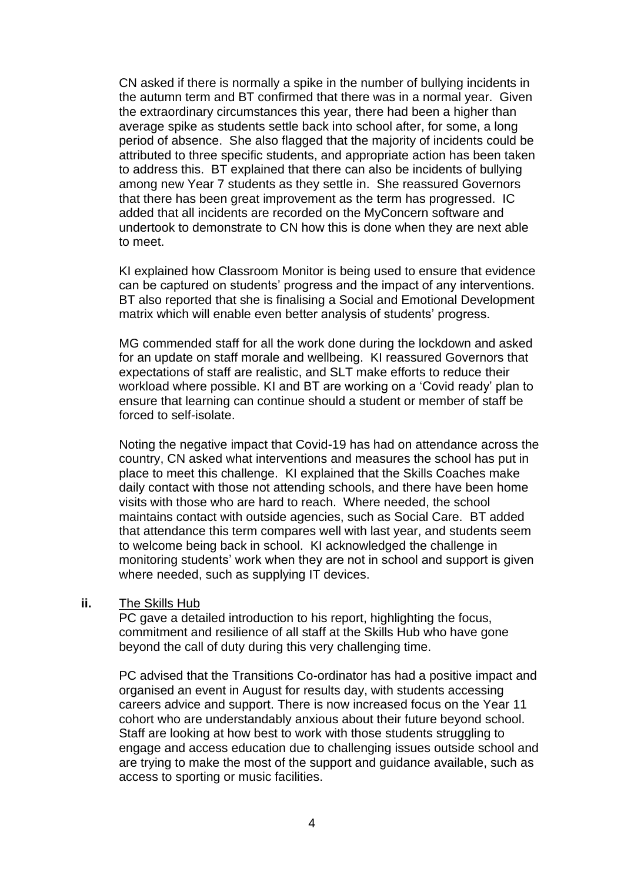CN asked if there is normally a spike in the number of bullying incidents in the autumn term and BT confirmed that there was in a normal year. Given the extraordinary circumstances this year, there had been a higher than average spike as students settle back into school after, for some, a long period of absence. She also flagged that the majority of incidents could be attributed to three specific students, and appropriate action has been taken to address this. BT explained that there can also be incidents of bullying among new Year 7 students as they settle in. She reassured Governors that there has been great improvement as the term has progressed. IC added that all incidents are recorded on the MyConcern software and undertook to demonstrate to CN how this is done when they are next able to meet.

KI explained how Classroom Monitor is being used to ensure that evidence can be captured on students' progress and the impact of any interventions. BT also reported that she is finalising a Social and Emotional Development matrix which will enable even better analysis of students' progress.

MG commended staff for all the work done during the lockdown and asked for an update on staff morale and wellbeing. KI reassured Governors that expectations of staff are realistic, and SLT make efforts to reduce their workload where possible. KI and BT are working on a 'Covid ready' plan to ensure that learning can continue should a student or member of staff be forced to self-isolate.

Noting the negative impact that Covid-19 has had on attendance across the country, CN asked what interventions and measures the school has put in place to meet this challenge. KI explained that the Skills Coaches make daily contact with those not attending schools, and there have been home visits with those who are hard to reach. Where needed, the school maintains contact with outside agencies, such as Social Care. BT added that attendance this term compares well with last year, and students seem to welcome being back in school. KI acknowledged the challenge in monitoring students' work when they are not in school and support is given where needed, such as supplying IT devices.

#### **ii.** The Skills Hub

PC gave a detailed introduction to his report, highlighting the focus, commitment and resilience of all staff at the Skills Hub who have gone beyond the call of duty during this very challenging time.

PC advised that the Transitions Co-ordinator has had a positive impact and organised an event in August for results day, with students accessing careers advice and support. There is now increased focus on the Year 11 cohort who are understandably anxious about their future beyond school. Staff are looking at how best to work with those students struggling to engage and access education due to challenging issues outside school and are trying to make the most of the support and guidance available, such as access to sporting or music facilities.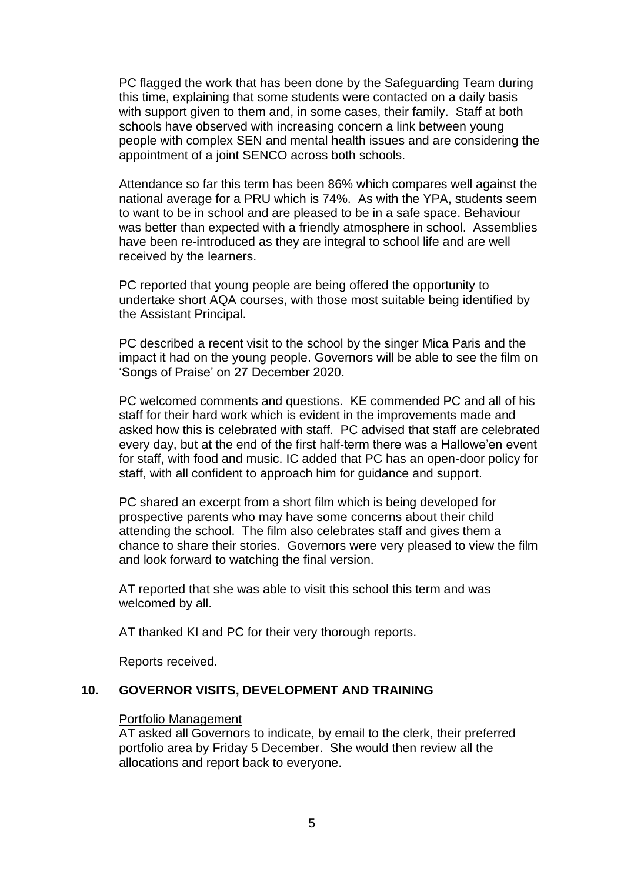PC flagged the work that has been done by the Safeguarding Team during this time, explaining that some students were contacted on a daily basis with support given to them and, in some cases, their family. Staff at both schools have observed with increasing concern a link between young people with complex SEN and mental health issues and are considering the appointment of a joint SENCO across both schools.

Attendance so far this term has been 86% which compares well against the national average for a PRU which is 74%. As with the YPA, students seem to want to be in school and are pleased to be in a safe space. Behaviour was better than expected with a friendly atmosphere in school. Assemblies have been re-introduced as they are integral to school life and are well received by the learners.

PC reported that young people are being offered the opportunity to undertake short AQA courses, with those most suitable being identified by the Assistant Principal.

PC described a recent visit to the school by the singer Mica Paris and the impact it had on the young people. Governors will be able to see the film on 'Songs of Praise' on 27 December 2020.

PC welcomed comments and questions. KE commended PC and all of his staff for their hard work which is evident in the improvements made and asked how this is celebrated with staff. PC advised that staff are celebrated every day, but at the end of the first half-term there was a Hallowe'en event for staff, with food and music. IC added that PC has an open-door policy for staff, with all confident to approach him for guidance and support.

PC shared an excerpt from a short film which is being developed for prospective parents who may have some concerns about their child attending the school. The film also celebrates staff and gives them a chance to share their stories. Governors were very pleased to view the film and look forward to watching the final version.

AT reported that she was able to visit this school this term and was welcomed by all.

AT thanked KI and PC for their very thorough reports.

Reports received.

#### **10. GOVERNOR VISITS, DEVELOPMENT AND TRAINING**

#### Portfolio Management

AT asked all Governors to indicate, by email to the clerk, their preferred portfolio area by Friday 5 December. She would then review all the allocations and report back to everyone.